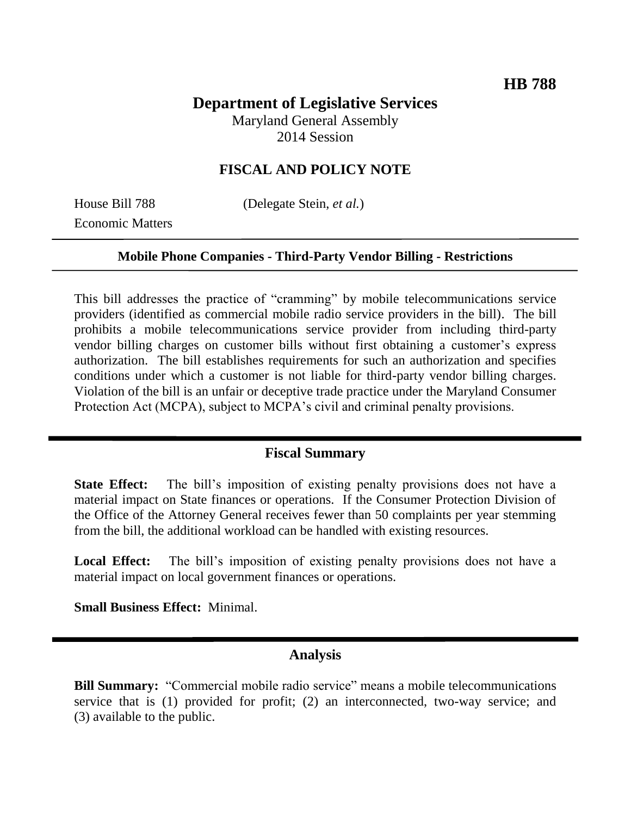# **Department of Legislative Services**

Maryland General Assembly 2014 Session

## **FISCAL AND POLICY NOTE**

Economic Matters

House Bill 788 (Delegate Stein, *et al.*)

#### **Mobile Phone Companies - Third-Party Vendor Billing - Restrictions**

This bill addresses the practice of "cramming" by mobile telecommunications service providers (identified as commercial mobile radio service providers in the bill). The bill prohibits a mobile telecommunications service provider from including third-party vendor billing charges on customer bills without first obtaining a customer's express authorization. The bill establishes requirements for such an authorization and specifies conditions under which a customer is not liable for third-party vendor billing charges. Violation of the bill is an unfair or deceptive trade practice under the Maryland Consumer Protection Act (MCPA), subject to MCPA's civil and criminal penalty provisions.

#### **Fiscal Summary**

**State Effect:** The bill's imposition of existing penalty provisions does not have a material impact on State finances or operations. If the Consumer Protection Division of the Office of the Attorney General receives fewer than 50 complaints per year stemming from the bill, the additional workload can be handled with existing resources.

Local Effect: The bill's imposition of existing penalty provisions does not have a material impact on local government finances or operations.

**Small Business Effect:** Minimal.

### **Analysis**

**Bill Summary:** "Commercial mobile radio service" means a mobile telecommunications service that is (1) provided for profit; (2) an interconnected, two-way service; and (3) available to the public.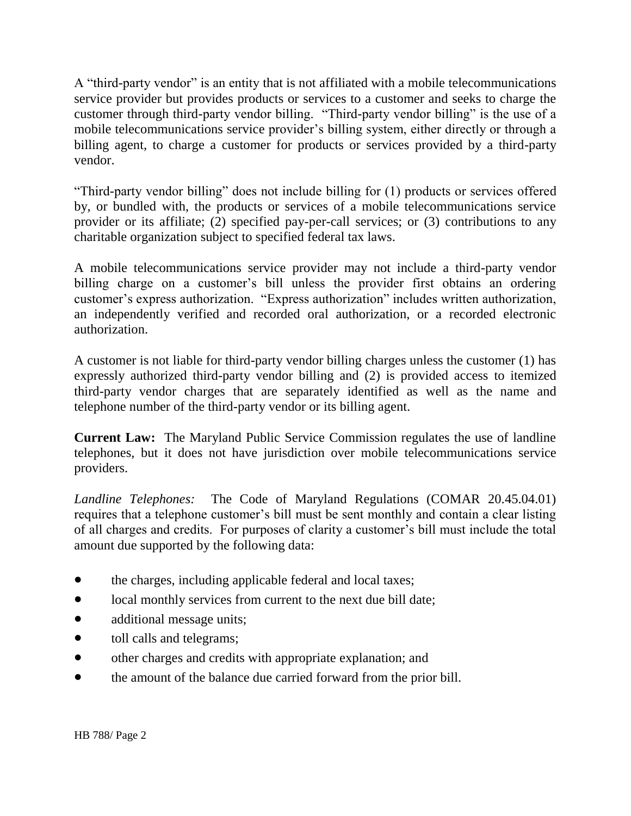A "third-party vendor" is an entity that is not affiliated with a mobile telecommunications service provider but provides products or services to a customer and seeks to charge the customer through third-party vendor billing. "Third-party vendor billing" is the use of a mobile telecommunications service provider's billing system, either directly or through a billing agent, to charge a customer for products or services provided by a third-party vendor.

"Third-party vendor billing" does not include billing for (1) products or services offered by, or bundled with, the products or services of a mobile telecommunications service provider or its affiliate; (2) specified pay-per-call services; or (3) contributions to any charitable organization subject to specified federal tax laws.

A mobile telecommunications service provider may not include a third-party vendor billing charge on a customer's bill unless the provider first obtains an ordering customer's express authorization. "Express authorization" includes written authorization, an independently verified and recorded oral authorization, or a recorded electronic authorization.

A customer is not liable for third-party vendor billing charges unless the customer (1) has expressly authorized third-party vendor billing and (2) is provided access to itemized third-party vendor charges that are separately identified as well as the name and telephone number of the third-party vendor or its billing agent.

**Current Law:** The Maryland Public Service Commission regulates the use of landline telephones, but it does not have jurisdiction over mobile telecommunications service providers.

*Landline Telephones:* The Code of Maryland Regulations (COMAR 20.45.04.01) requires that a telephone customer's bill must be sent monthly and contain a clear listing of all charges and credits. For purposes of clarity a customer's bill must include the total amount due supported by the following data:

- the charges, including applicable federal and local taxes;
- local monthly services from current to the next due bill date;
- additional message units;
- toll calls and telegrams;
- other charges and credits with appropriate explanation; and
- the amount of the balance due carried forward from the prior bill.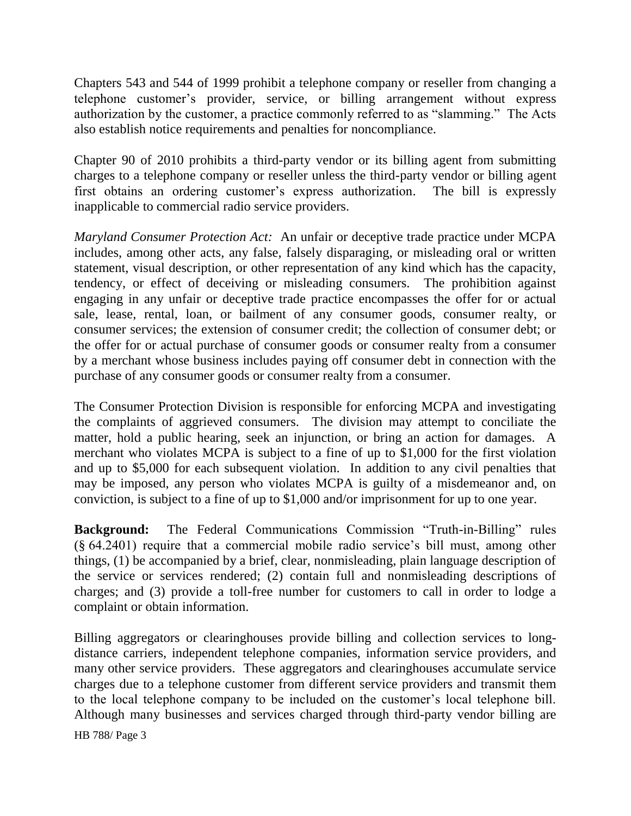Chapters 543 and 544 of 1999 prohibit a telephone company or reseller from changing a telephone customer's provider, service, or billing arrangement without express authorization by the customer, a practice commonly referred to as "slamming." The Acts also establish notice requirements and penalties for noncompliance.

Chapter 90 of 2010 prohibits a third-party vendor or its billing agent from submitting charges to a telephone company or reseller unless the third-party vendor or billing agent first obtains an ordering customer's express authorization. The bill is expressly inapplicable to commercial radio service providers.

*Maryland Consumer Protection Act:* An unfair or deceptive trade practice under MCPA includes, among other acts, any false, falsely disparaging, or misleading oral or written statement, visual description, or other representation of any kind which has the capacity, tendency, or effect of deceiving or misleading consumers. The prohibition against engaging in any unfair or deceptive trade practice encompasses the offer for or actual sale, lease, rental, loan, or bailment of any consumer goods, consumer realty, or consumer services; the extension of consumer credit; the collection of consumer debt; or the offer for or actual purchase of consumer goods or consumer realty from a consumer by a merchant whose business includes paying off consumer debt in connection with the purchase of any consumer goods or consumer realty from a consumer.

The Consumer Protection Division is responsible for enforcing MCPA and investigating the complaints of aggrieved consumers. The division may attempt to conciliate the matter, hold a public hearing, seek an injunction, or bring an action for damages. A merchant who violates MCPA is subject to a fine of up to \$1,000 for the first violation and up to \$5,000 for each subsequent violation. In addition to any civil penalties that may be imposed, any person who violates MCPA is guilty of a misdemeanor and, on conviction, is subject to a fine of up to \$1,000 and/or imprisonment for up to one year.

**Background:** The Federal Communications Commission "Truth-in-Billing" rules (§ 64.2401) require that a commercial mobile radio service's bill must, among other things, (1) be accompanied by a brief, clear, nonmisleading, plain language description of the service or services rendered; (2) contain full and nonmisleading descriptions of charges; and (3) provide a toll-free number for customers to call in order to lodge a complaint or obtain information.

Billing aggregators or clearinghouses provide billing and collection services to longdistance carriers, independent telephone companies, information service providers, and many other service providers. These aggregators and clearinghouses accumulate service charges due to a telephone customer from different service providers and transmit them to the local telephone company to be included on the customer's local telephone bill. Although many businesses and services charged through third-party vendor billing are

HB 788/ Page 3